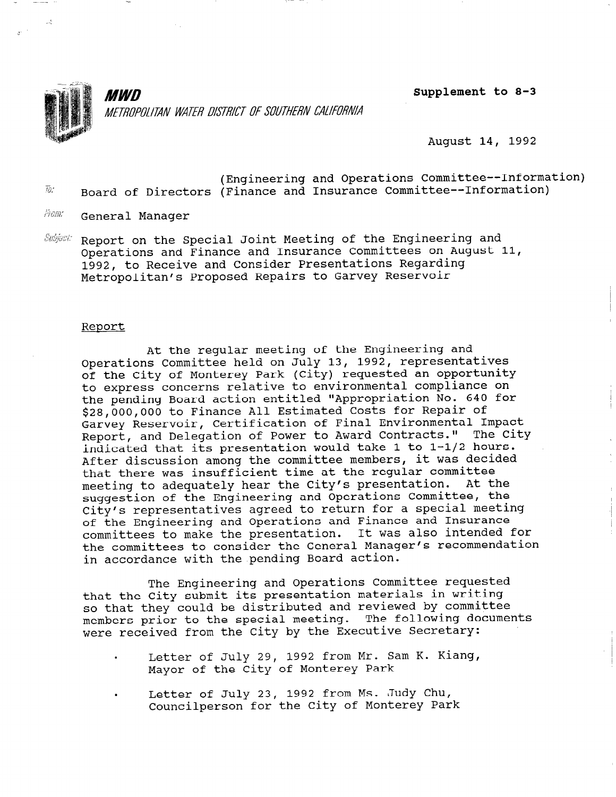

MWN METROPOLITAN WATER DISTRICT OF SOUTHERN CALIFORNIA Supplement to 8-3

August 14, 1992

- (Engineering and Operations Committee--Information) Board of Directors (Finance and Insurance Committee--Information)  $\overline{1}$
- From: General Manager
- Report on the Special Joint Meeting of the Engineering and Subject: Operations and Finance and Insurance Committees on August 11, 1992, to Receive and Consider Presentations Regarding Metropolitan's Proposed Repairs to Garvey Reservoir

#### Report

At the regular meeting of the Engineering and Operations Committee held on July 13, 1992, representatives of the City of Monterey Park (City) requested an opportunity to express concerns relative to environmental compliance on the pending Board action entitled "Appropriation No. 640 for \$28,000,000 to Finance All Estimated Costs for Repair of Garvey Reservoir, Certification of Final Environmental Impact Report, and Delegation of Power to Award Contracts." The City indicated that its presentation would take 1 to l-1/2 hours. After discussion among the committee members, it was decided that there was insufficient time at the regular committee meeting to adequately hear the City's presentation. At the suggestion of the Engineering and Operations Committee, the City's representatives agreed to return for a special meeting of the Engineering and Operations and Finance and Insurance committees to make the presentation. It was also intended for the committees to consider the General Manager's recommendation in accordance with the pending Board action.

The Engineering and Operations Committee requested that the City submit its presentation materials in writing so that they could be distributed and reviewed by committee members prior to the special meeting. The following documents were received from the City by the Executive Secretary:

- . Letter of July 29, 1992 from Mr. Sam K. Kiang, Mayor of the City of Monterey Park
- . Letter of July 23, 1992 from Ms. Judy Chu, Letter of July 23, 1992 from hs. Budy Cha,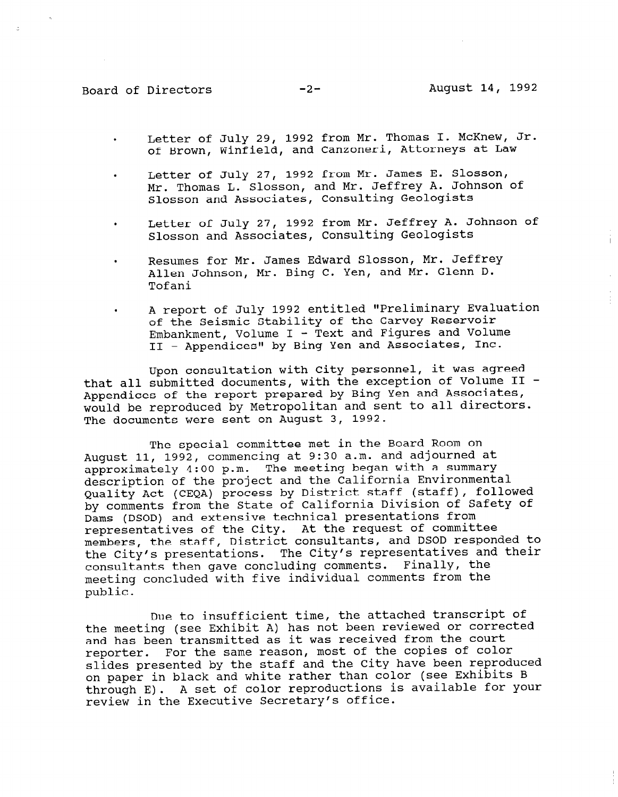- . Letter of July 29, 1992 from Mr. Thomas I. McKnew, Jr. of Brown, Winfield, and Canzoneri, Attorneys at Law
- . Letter of July 27, 1992 from Mr. James E. Slosson, Mr. Thomas L. Slosson, and Mr. Jeffrey A. Johnson of Slosson and Associates, Consulting Geologists
- . Letter of July 27, 1992 from Mr. Jeffrey A. Johnson of Slosson and Associates, Consulting Geologists
- . Resumes for Mr. James Edward Slosson, Mr. Jeffrey Allen Johnson, Mr. Bing C. Yen, and Mr. Glenn D. Tofani
- . A report of July 1992 entitled "Preliminary Evaluation of the Seismic Stability of the Garvey Reservoir  $Embankment$ , Volume I - Text and Figures and Volume II - Appendices" by Bing Yen and Associates, Inc.

Upon consultation with City personnel, it was agreed that all submitted documents, with the exception of Volume II - Appendices of the report prepared by Bing Yen and Associates, would be reproduced by Metropolitan and sent to all directors. The documents were sent on August 3, 1992.

The special committee met in the Board Room on August 11, 1992, commencing at 9:30 a.m. and adjourned at approximately 4:00 p.m. The meeting began with a summary description of the project and the California Environmental Quality Act (CEQA) process by District staff (staff), followed by comments from the State of California Division of Safety of Dams (DSOD) and extensive technical presentations from representatives of the City. At the request of committee members, the staff, District consultants, and DSOD responded to the City's presentations. The City's representatives and their consultants then gave concluding comments. Finally, the meeting concluded with five individual comments from the public.

Due to insufficient time, the attached transcript of the meeting (see Exhibit A) has not been reviewed or corrected and has been transmitted as it was received from the court reporter. For the same reason, most of the copies of color slides presented by the staff and the City have been reproduced on paper in black and white rather than color (see Exhibits B through E). A set of color reproductions is available for your review in the Executive Secretary's office.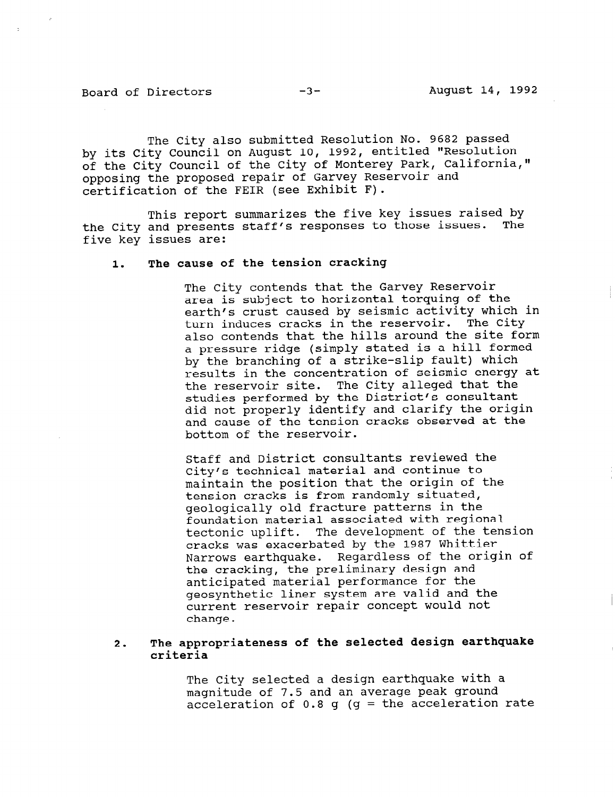The City also submitted Resolution No. 9682 passed by its City Council on August 10, 1992, entitled "Resolution of the City Council of the City of Monterey Park, California," opposing the proposed repair of Garvey Reservoir and certification of the FEIR (see Exhibit F).

This report summarizes the five key issues raised by the City and presents staff's responses to those issues. The five key issues are:

# 1. The cause of the tension cracking

The City contends that the Garvey Reservoir area is subject to horizontal torquing of the earth's crust caused by seismic activity which in turn induces cracks in the reservoir. The City also contends that the hills around the site form a pressure ridge (simply stated is a hill formed by the branching of a strike-slip fault) which results in the concentration of seismic energy at the reservoir site. The City alleged that the studies performed by the District's consultant did not properly identify and clarify the origin and cause of the tension cracks observed at the bottom of the reservoir.

Staff and District consultants reviewed the City's technical material and continue to maintain the position that the origin of the tension cracks is from randomly situated, geologically old fracture patterns in the foundation material associated with regional tectonic uplift. The development of the tension cracks was exacerbated by the 1987 Whittier Narrows earthquake. Regardless of the origin of the cracking, the preliminary design and anticipated material performance for the geosynthetic liner system are valid and the geosynthetic finer system are valid and or cuirch

## 2. The appropriateness of the selected design earthquake criteria

The City selected a design earthquake with a magnitude of 7.5 and an average peak ground acceleration of  $0.8$  q (q = the acceleration rate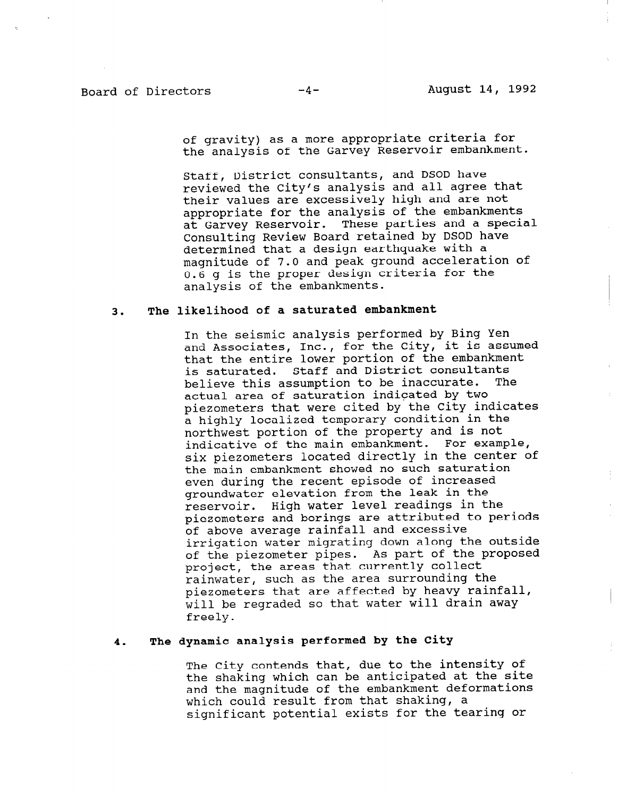of gravity) as a more appropriate criteria for the analysis of the Garvey Reservoir embankment.

Staff, District consultants, and DSOD have reviewed the City's analysis and all agree that their values are excessively high and are not appropriate for the analysis of the embankments at Garvey Reservoir. These parties and a special Consulting Review Board retained by DSOD have determined that a design earthquake with a magnitude of 7.0 and peak ground acceleration of 0.6 g is the proper design criteria for the analysis of the embankments.

# 3. The likelihood of a saturated embankment

In the seismic analysis performed by Bing Yen and Associates, Inc., for the City, it is assumed that the entire lower portion of the embankment is saturated. Staff and District consultants believe this assumption to be inaccurate. The actual area of saturation indicated by two piezometers that were cited by the City indicates a highly localized temporary condition in the northwest portion of the property and is not indicative of the main embankment. For example, six piezometers located directly in the center of the main embankment showed no such saturation even during the recent episode of increased groundwater elevation from the leak in the reservoir. High water level readings in the piezometers and borings are attributed to periods of above average rainfall and excessive irrigation water migrating down along the outside of the piezometer pipes. As part of the proposed project, the areas that currently collect rainwater, such as the area surrounding the piezometers that are affected by heavy rainfall, will be regraded so that water will drain away freely.

#### 4. The dynamic analysis performed by the City

The City contends that, due to the intensity of the shaking which can be anticipated at the site and the magnitude of the embankment deformations which could result from that shaking, a significant potential exists for the tearing or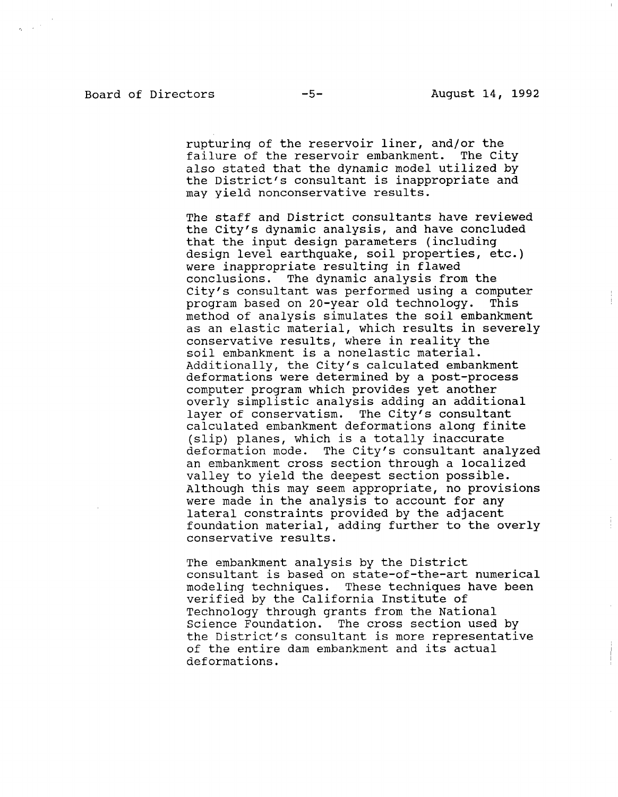rupturing of the reservoir liner, and/or the failure of the reservoir embankment. The City also stated that the dynamic model utilized by the District's consultant is inappropriate and may yield nonconservative results.

The staff and District consultants have reviewed the City's dynamic analysis, and have concluded that the input design parameters (including design level earthquake, soil properties, etc.) were inappropriate resulting in flawed conclusions. The dynamic analysis from the City's consultant was performed using a computer program based on 20-year old technology. This method of analysis simulates the soil embankment as an election meterial, which results in severe ds directative material, which results in a conservative results, where in reality the soil embankment is a nonelastic material. Additionally, the City's calculated embankment deformations were determined by a post-process computer program which provides yet another overly simplistic analysis adding an additional layer of conservatism. The City's consultant calculated embankment deformations along finite  $(slip)$  planes, which is a totally inaccurate deformation mode. The City's consultant analyzed an embankment cross section through a localized valley to yield the deepest section possible. Although this may seem appropriate, no provisions were made in the analysis to account for any lateral constraints provided by the adjacent foundation material, adding further to the overly conservative results.

The embankment analysis by the District consultant is based on state-of-the-art numerical modeling techniques. These techniques have been verified by the California Institute of Technology through grants from the National Science Foundation. The cross section used by the District's consultant is more representative of the entire dam embankment and its actual deformations.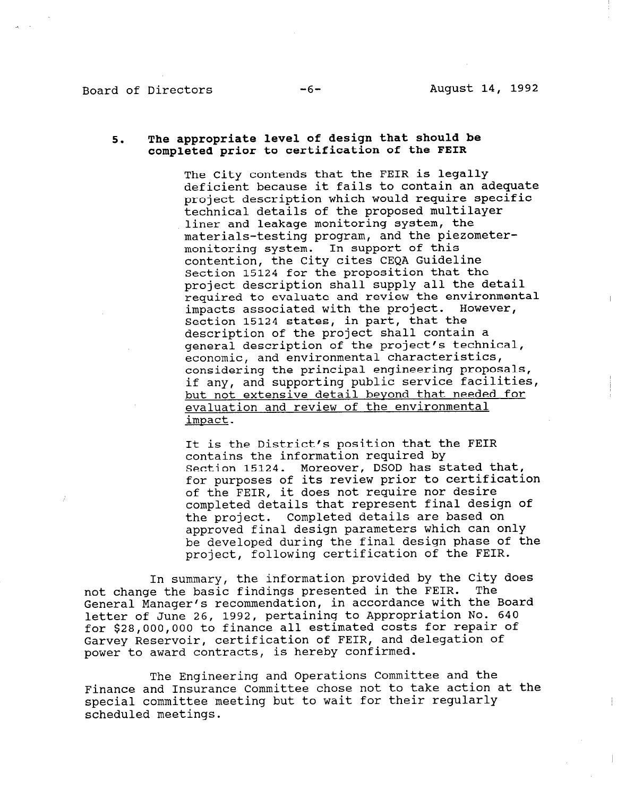## Board of Directors -6- August 14, 1992

## 5. The appropriate level of design that should be completed prior to certification of the FEIR

The City contends that the FEIR is legally deficient because it fails to contain an adequate project description which would require specific technical details of the proposed multilayer liner and leakage monitoring system, the materials-testing program, and the piezometermonitoring system. In support of this contention, the City cites CEQA Guideline Section 15124 for the proposition that the project description shall supply all the detail required to evaluate and review the environmental impacts associated with the project. However, Section 15124 states, in part, that the description of the project shall contain a general description of the project's technical, economic, and environmental characteristics, considering the principal engineering proposals, if any, and supporting public service facilities, but not extensive detail beyond that needed for evaluation and review of the environmental impact.

It is the District's position that the FEIR contains the information required by Section 15124. Moreover, DSOD has stated that, for purposes of its review prior to certification of the FEIR, it does not require nor desire completed details that represent final design of the project. Completed details are based on approved final design parameters which can only be developed during the final design phase of the project, following certification of the FEIR.

In summary, the information provided by the City does not change the basic findings presented in the FEIR. The General Manager's recommendation, in accordance with the Board letter of June 26, 1992, pertaining to Appropriation No. 640 for \$28,000,000 to finance all estimated costs for repair of Garvey Reservoir, certification of FEIR, and delegation of power to award contracts, is hereby confirmed.

The Engineering and Operations Committee and the Finance and Insurance Committee chose not to take action at the special committee meeting but to wait for their regular special committee